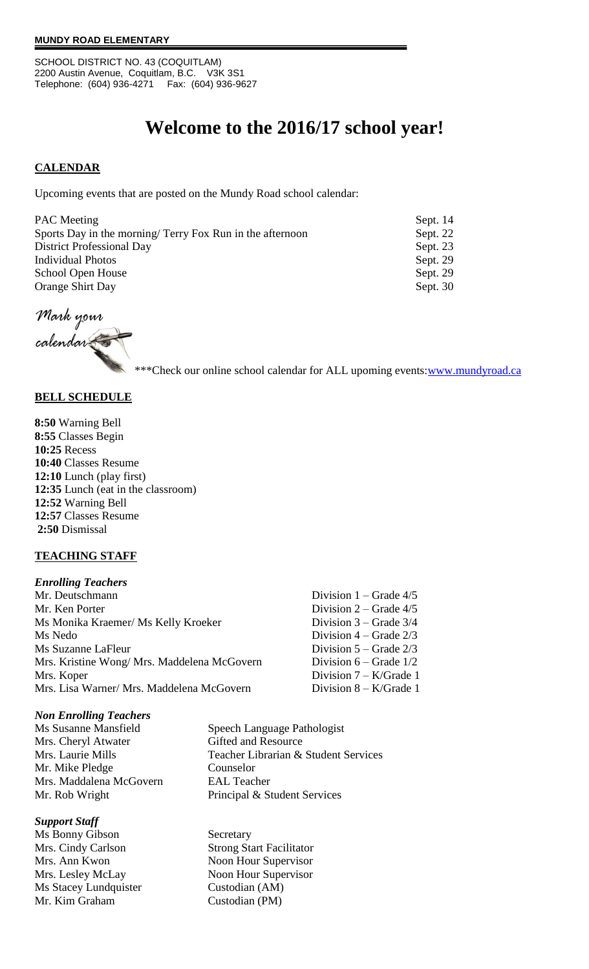SCHOOL DISTRICT NO. 43 (COQUITLAM) 2200 Austin Avenue, Coquitlam, B.C. V3K 3S1 Telephone: (604) 936-4271 Fax: (604) 936-9627

# **Welcome to the 2016/17 school year!**

# **CALENDAR**

Upcoming events that are posted on the Mundy Road school calendar:

| <b>PAC</b> Meeting                                        | Sept. 14 |
|-----------------------------------------------------------|----------|
| Sports Day in the morning/ Terry Fox Run in the afternoon | Sept. 22 |
| <b>District Professional Day</b>                          | Sept. 23 |
| <b>Individual Photos</b>                                  | Sept. 29 |
| School Open House                                         | Sept. 29 |
| Orange Shirt Day                                          | Sept. 30 |

Mark your

calendar

\*\*\*Check our online school calendar for ALL upoming events[:www.mundyroad.ca](http://www.mundyroad.ca/)

### **BELL SCHEDULE**

**8:50** Warning Bell **8:55** Classes Begin **10:25** Recess **10:40** Classes Resume **12:10** Lunch (play first) **12:35** Lunch (eat in the classroom) **12:52** Warning Bell **12:57** Classes Resume **2:50** Dismissal

### **TEACHING STAFF**

| <b>Enrolling Teachers</b>                   |                            |
|---------------------------------------------|----------------------------|
| Mr. Deutschmann                             | Division $1 -$ Grade 4/5   |
| Mr. Ken Porter                              | Division $2 -$ Grade $4/5$ |
| Ms Monika Kraemer/ Ms Kelly Kroeker         | Division $3 -$ Grade $3/4$ |
| Ms Nedo                                     | Division $4 -$ Grade $2/3$ |
| Ms Suzanne LaFleur                          | Division $5 -$ Grade $2/3$ |
| Mrs. Kristine Wong/ Mrs. Maddelena McGovern | Division $6 -$ Grade $1/2$ |
| Mrs. Koper                                  | Division $7 - K/Grade$ 1   |
| Mrs. Lisa Warner/ Mrs. Maddelena McGovern   | Division $8 - K/G$ rade 1  |

#### *Non Enrolling Teachers*

Mrs. Cheryl Atwater Gifted and Resource Mr. Mike Pledge Counselor Mrs. Maddalena McGovern EAL Teacher

#### *Support Staff*

Ms Bonny Gibson Secretary Mrs. Ann Kwon Noon Hour Supervisor Mrs. Lesley McLay Noon Hour Supervisor Ms Stacey Lundquister Custodian (AM) Mr. Kim Graham Custodian (PM)

Ms Susanne Mansfield Speech Language Pathologist Mrs. Laurie Mills Teacher Librarian & Student Services Mr. Rob Wright Principal & Student Services

Mrs. Cindy Carlson Strong Start Facilitator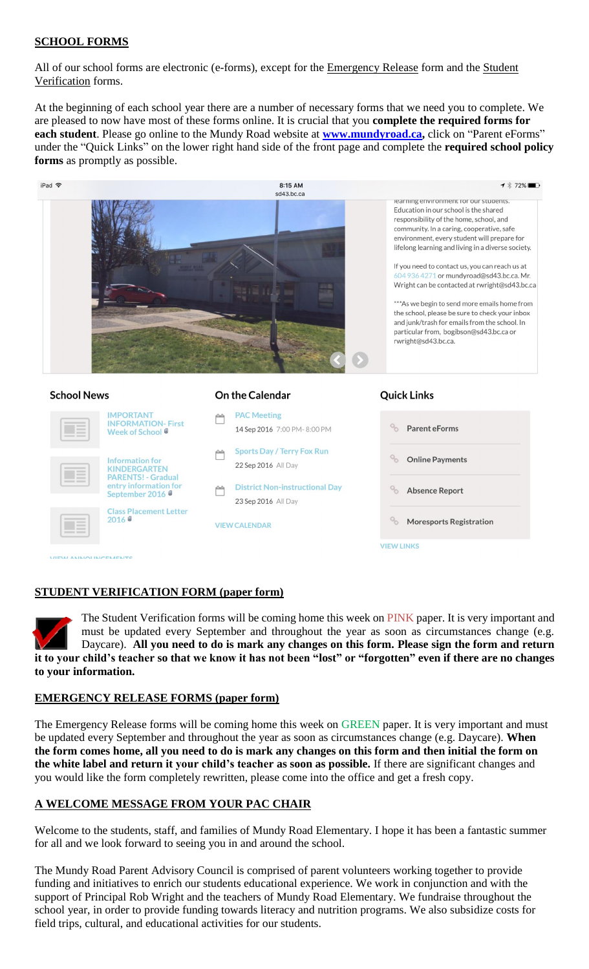# **SCHOOL FORMS**

All of our school forms are electronic (e-forms), except for the Emergency Release form and the Student Verification forms.

At the beginning of each school year there are a number of necessary forms that we need you to complete. We are pleased to now have most of these forms online. It is crucial that you **complete the required forms for each student**. Please go online to the Mundy Road website at **[www.m](https://webmail.sd43.bc.ca/OWA/redir.aspx?C=-Ro4tGebEkSHgd8YzasP1EKlKUQBxdFIx3bARkDt20MBpdtcaUuFH0gFRrr43OYVZG95aju6vGQ.&URL=http%3a%2f%2fwww.)undyroad.ca,** click on "Parent eForms" under the "Quick Links" on the lower right hand side of the front page and complete the **required school policy forms** as promptly as possible.



# **STUDENT VERIFICATION FORM (paper form)**

The Student Verification forms will be coming home this week on PINK paper. It is very important and must be updated every September and throughout the year as soon as circumstances change (e.g. Daycare). **All you need to do is mark any changes on this form. Please sign the form and return it to your child's teacher so that we know it has not been "lost" or "forgotten" even if there are no changes to your information.** 

# **EMERGENCY RELEASE FORMS (paper form)**

The Emergency Release forms will be coming home this week on GREEN paper. It is very important and must be updated every September and throughout the year as soon as circumstances change (e.g. Daycare). **When the form comes home, all you need to do is mark any changes on this form and then initial the form on the white label and return it your child's teacher as soon as possible.** If there are significant changes and you would like the form completely rewritten, please come into the office and get a fresh copy.

# **A WELCOME MESSAGE FROM YOUR PAC CHAIR**

Welcome to the students, staff, and families of Mundy Road Elementary. I hope it has been a fantastic summer for all and we look forward to seeing you in and around the school.

The Mundy Road Parent Advisory Council is comprised of parent volunteers working together to provide funding and initiatives to enrich our students educational experience. We work in conjunction and with the support of Principal Rob Wright and the teachers of Mundy Road Elementary. We fundraise throughout the school year, in order to provide funding towards literacy and nutrition programs. We also subsidize costs for field trips, cultural, and educational activities for our students.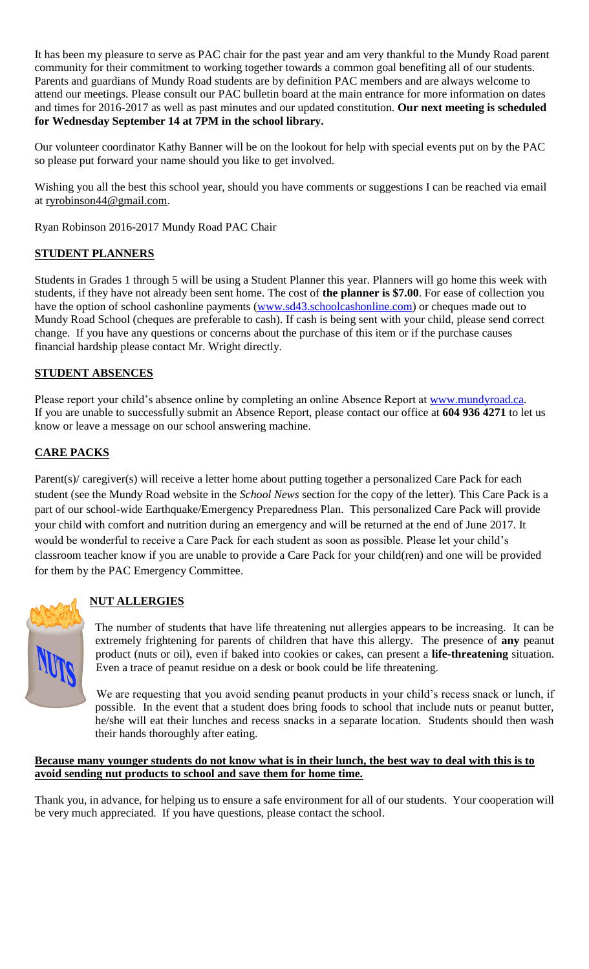It has been my pleasure to serve as PAC chair for the past year and am very thankful to the Mundy Road parent community for their commitment to working together towards a common goal benefiting all of our students. Parents and guardians of Mundy Road students are by definition PAC members and are always welcome to attend our meetings. Please consult our PAC bulletin board at the main entrance for more information on dates and times for 2016-2017 as well as past minutes and our updated constitution. **Our next meeting is scheduled for Wednesday September 14 at 7PM in the school library.**

Our volunteer coordinator Kathy Banner will be on the lookout for help with special events put on by the PAC so please put forward your name should you like to get involved.

Wishing you all the best this school year, should you have comments or suggestions I can be reached via email at [ryrobinson44@gmail.com.](mailto:ryrobinson44@gmail.com)

Ryan Robinson 2016-2017 Mundy Road PAC Chair

# **STUDENT PLANNERS**

Students in Grades 1 through 5 will be using a Student Planner this year. Planners will go home this week with students, if they have not already been sent home. The cost of **the planner is \$7.00**. For ease of collection you have the option of school cashonline payments [\(www.sd43.schoolcashonline.com\)](http://www.sd43.schoolcashonline.com/) or cheques made out to Mundy Road School (cheques are preferable to cash). If cash is being sent with your child, please send correct change. If you have any questions or concerns about the purchase of this item or if the purchase causes financial hardship please contact Mr. Wright directly.

# **STUDENT ABSENCES**

Please report your child's absence online by completing an online Absence Report at [www.mundyroad.ca.](http://www.mundyroad.ca/) If you are unable to successfully submit an Absence Report, please contact our office at **604 936 4271** to let us know or leave a message on our school answering machine.

# **CARE PACKS**

Parent(s)/ caregiver(s) will receive a letter home about putting together a personalized Care Pack for each student (see the Mundy Road website in the *School News* section for the copy of the letter). This Care Pack is a part of our school-wide Earthquake/Emergency Preparedness Plan. This personalized Care Pack will provide your child with comfort and nutrition during an emergency and will be returned at the end of June 2017. It would be wonderful to receive a Care Pack for each student as soon as possible. Please let your child's classroom teacher know if you are unable to provide a Care Pack for your child(ren) and one will be provided for them by the PAC Emergency Committee.



# **NUT ALLERGIES**

The number of students that have life threatening nut allergies appears to be increasing. It can be extremely frightening for parents of children that have this allergy. The presence of **any** peanut product (nuts or oil), even if baked into cookies or cakes, can present a **life-threatening** situation. Even a trace of peanut residue on a desk or book could be life threatening.

We are requesting that you avoid sending peanut products in your child's recess snack or lunch, if possible. In the event that a student does bring foods to school that include nuts or peanut butter, he/she will eat their lunches and recess snacks in a separate location. Students should then wash their hands thoroughly after eating.

### **Because many younger students do not know what is in their lunch, the best way to deal with this is to avoid sending nut products to school and save them for home time.**

Thank you, in advance, for helping us to ensure a safe environment for all of our students. Your cooperation will be very much appreciated. If you have questions, please contact the school.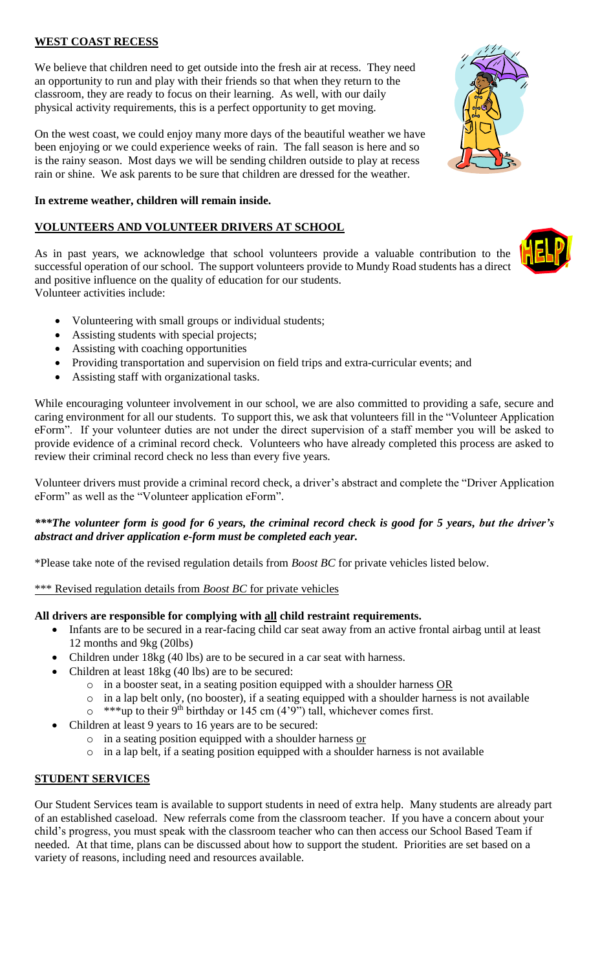# **WEST COAST RECESS**

We believe that children need to get outside into the fresh air at recess. They need an opportunity to run and play with their friends so that when they return to the classroom, they are ready to focus on their learning. As well, with our daily physical activity requirements, this is a perfect opportunity to get moving.

On the west coast, we could enjoy many more days of the beautiful weather we have been enjoying or we could experience weeks of rain. The fall season is here and so is the rainy season. Most days we will be sending children outside to play at recess rain or shine. We ask parents to be sure that children are dressed for the weather.

#### **In extreme weather, children will remain inside.**

## **VOLUNTEERS AND VOLUNTEER DRIVERS AT SCHOOL**

As in past years, we acknowledge that school volunteers provide a valuable contribution to the successful operation of our school. The support volunteers provide to Mundy Road students has a direct and positive influence on the quality of education for our students.

Volunteer activities include:

- Volunteering with small groups or individual students;
- Assisting students with special projects;
- Assisting with coaching opportunities
- Providing transportation and supervision on field trips and extra-curricular events; and
- Assisting staff with organizational tasks.

While encouraging volunteer involvement in our school, we are also committed to providing a safe, secure and caring environment for all our students. To support this, we ask that volunteers fill in the "Volunteer Application eForm". If your volunteer duties are not under the direct supervision of a staff member you will be asked to provide evidence of a criminal record check. Volunteers who have already completed this process are asked to review their criminal record check no less than every five years.

Volunteer drivers must provide a criminal record check, a driver's abstract and complete the "Driver Application eForm" as well as the "Volunteer application eForm".

### *\*\*\*The volunteer form is good for 6 years, the criminal record check is good for 5 years, but the driver's abstract and driver application e-form must be completed each year.*

\*Please take note of the revised regulation details from *Boost BC* for private vehicles listed below.

\*\*\* Revised regulation details from *Boost BC* for private vehicles

### **All drivers are responsible for complying with all child restraint requirements.**

- Infants are to be secured in a rear-facing child car seat away from an active frontal airbag until at least 12 months and 9kg (20lbs)
- Children under 18kg (40 lbs) are to be secured in a car seat with harness.
- Children at least 18kg (40 lbs) are to be secured:
	- o in a booster seat, in a seating position equipped with a shoulder harness OR
	- o in a lap belt only, (no booster), if a seating equipped with a shoulder harness is not available
	- $\circ$  \*\*\*up to their 9<sup>th</sup> birthday or 145 cm (4'9") tall, whichever comes first.
- Children at least 9 years to 16 years are to be secured:
	- $\circ$  in a seating position equipped with a shoulder harness or
	- $\circ$  in a lap belt, if a seating position equipped with a shoulder harness is not available

### **STUDENT SERVICES**

Our Student Services team is available to support students in need of extra help. Many students are already part of an established caseload. New referrals come from the classroom teacher. If you have a concern about your child's progress, you must speak with the classroom teacher who can then access our School Based Team if needed. At that time, plans can be discussed about how to support the student. Priorities are set based on a variety of reasons, including need and resources available.